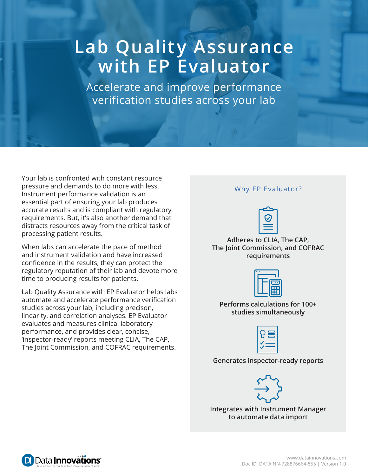# **Lab Quality Assurance with EP Evaluator**

Accelerate and improve performance verification studies across your lab

Your lab is confronted with constant resource pressure and demands to do more with less. Instrument performance validation is an essential part of ensuring your lab produces accurate results and is compliant with regulatory requirements. But, it's also another demand that distracts resources away from the critical task of processing patient results.

When labs can accelerate the pace of method and instrument validation and have increased confidence in the results, they can protect the regulatory reputation of their lab and devote more time to producing results for patients.

Lab Quality Assurance with EP Evaluator helps labs automate and accelerate performance verification studies across your lab, including precison, linearity, and correlation analyses. EP Evaluator evaluates and measures clinical laboratory performance, and provides clear, concise, 'inspector-ready' reports meeting CLIA, The CAP, The Joint Commission, and COFRAC requirements.

#### Why EP Evaluator?



**Adheres to CLIA, The CAP, The Joint Commission, and COFRAC requirements**



**Performs calculations for 100+ studies simultaneously**



**Generates inspector-ready reports**



**Integrates with Instrument Manager to automate data import**

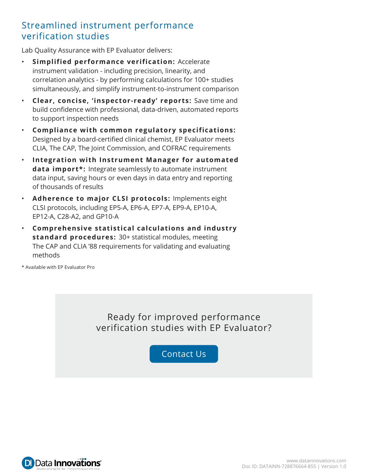## Streamlined instrument performance verification studies

Lab Quality Assurance with EP Evaluator delivers:

- **Simplified performance verification:** Accelerate instrument validation - including precision, linearity, and correlation analytics - by performing calculations for 100+ studies simultaneously, and simplify instrument-to-instrument comparison
- **Clear, concise, 'inspector-ready' reports:** Save time and build confidence with professional, data-driven, automated reports to support inspection needs
- **Compliance with common regulatory specifications:**  Designed by a board-certified clinical chemist, EP Evaluator meets CLIA, The CAP, The Joint Commission, and COFRAC requirements
- **Integration with Instrument Manager for automated data import\*:** Integrate seamlessly to automate instrument data input, saving hours or even days in data entry and reporting of thousands of results
- **Adherence to major CLSI protocols:** Implements eight CLSI protocols, including EP5-A, EP6-A, EP7-A, EP9-A, EP10-A, EP12-A, C28-A2, and GP10-A
- **Comprehensive statistical calculations and industry standard procedures:** 30+ statistical modules, meeting The CAP and CLIA '88 requirements for validating and evaluating methods

\* Available with EP Evaluator Pro

Ready for improved performance verification studies with EP Evaluator?

[Contact Us](https://www.datainnovations.com/contact-us)

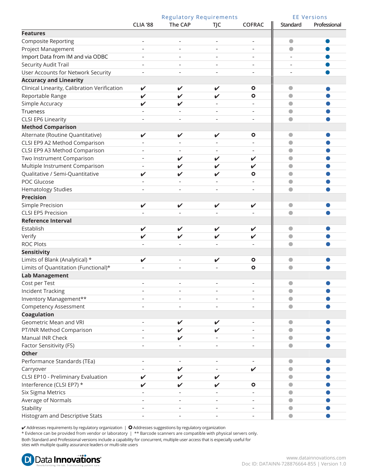|                                              |                              | <b>Regulatory Requirements</b> |                          | <b>EE Versions</b>       |           |              |
|----------------------------------------------|------------------------------|--------------------------------|--------------------------|--------------------------|-----------|--------------|
|                                              | CLIA '88                     | The CAP                        | <b>TJC</b>               | <b>COFRAC</b>            | Standard  | Professional |
| <b>Features</b>                              |                              |                                |                          |                          |           |              |
| <b>Composite Reporting</b>                   | $\qquad \qquad \blacksquare$ | $\overline{\phantom{m}}$       | $\overline{\phantom{0}}$ | $\qquad \qquad -$        | O         |              |
| Project Management                           |                              |                                | $\overline{\phantom{a}}$ |                          | a         |              |
| Import Data from IM and via ODBC             |                              |                                |                          |                          |           |              |
| Security Audit Trail                         |                              |                                |                          |                          |           |              |
| User Accounts for Network Security           |                              |                                |                          |                          |           |              |
| <b>Accuracy and Linearity</b>                |                              |                                |                          |                          |           |              |
| Clinical Linearity, Calibration Verification | V                            | V                              | $\checkmark$             | $\circ$                  |           |              |
| Reportable Range                             | V                            | V                              | ✓                        | $\bullet$                | a         |              |
| Simple Accuracy                              | V                            | V                              |                          |                          | $\bullet$ |              |
| Trueness                                     |                              |                                |                          |                          |           |              |
| <b>CLSI EP6 Linearity</b>                    |                              |                                |                          |                          |           |              |
| <b>Method Comparison</b>                     |                              |                                |                          |                          |           |              |
| Alternate (Routine Quantitative)             | V                            | V                              | V                        | $\bullet$                |           |              |
| CLSI EP9 A2 Method Comparison                |                              |                                |                          |                          |           |              |
| CLSI EP9 A3 Method Comparison                |                              |                                |                          |                          | a         |              |
| Two Instrument Comparison                    | $\qquad \qquad -$            | $\checkmark$                   | $\checkmark$             | $\boldsymbol{\nu}$       |           |              |
| Multiple Instrument Comparison               |                              | V                              | V                        | V                        |           |              |
| Qualitative / Semi-Quantitative              | V                            | V                              |                          | $\bullet$                |           |              |
| POC Glucose                                  |                              |                                |                          |                          |           |              |
| <b>Hematology Studies</b>                    |                              |                                |                          |                          |           |              |
| <b>Precision</b>                             |                              |                                |                          |                          |           |              |
| Simple Precision                             | V                            | $\checkmark$                   | V                        | V                        | $\bullet$ |              |
| CLSI EP5 Precision                           |                              |                                |                          |                          |           |              |
| <b>Reference Interval</b>                    |                              |                                |                          |                          |           |              |
| Establish                                    | V                            | V                              | V                        | V                        |           |              |
| Verify                                       | V                            | V                              | V                        | V                        |           |              |
| <b>ROC Plots</b>                             |                              |                                |                          |                          |           |              |
| Sensitivity                                  |                              |                                |                          |                          |           |              |
| Limits of Blank (Analytical) *               | V                            |                                | V                        | $\bullet$                |           |              |
| Limits of Quantitation (Functional)*         |                              |                                |                          | $\bullet$                |           |              |
| <b>Lab Management</b>                        |                              |                                |                          |                          |           |              |
| Cost per Test                                |                              |                                |                          |                          |           |              |
| <b>Incident Tracking</b>                     |                              |                                |                          | $\overline{\phantom{0}}$ | $\bullet$ |              |
| Inventory Management**                       |                              |                                |                          |                          |           |              |
| <b>Competency Assessment</b>                 |                              |                                |                          |                          |           |              |
| Coagulation                                  |                              |                                |                          |                          |           |              |
| Geometric Mean and VRI                       | $\overline{\phantom{a}}$     | V                              | V                        | $\overline{\phantom{0}}$ | O         |              |
| PT/INR Method Comparison                     |                              | V                              | ✔                        |                          | $\bullet$ |              |
| Manual INR Check                             |                              | V                              |                          |                          | $\bullet$ |              |
| Factor Sensitivity (FS)                      |                              |                                |                          |                          |           |              |
| <b>Other</b>                                 |                              |                                |                          |                          |           |              |
| Performance Standards (TEa)                  | $\overline{\phantom{a}}$     |                                |                          |                          |           |              |
| Carryover                                    |                              | ✓                              |                          | ✓                        |           |              |
| CLSI EP10 - Preliminary Evaluation           | V                            |                                | V                        |                          | O         |              |
| Interference (CLSI EP7) *                    | V                            | V                              | V                        | $\bullet$                |           |              |
| Six Sigma Metrics                            |                              |                                |                          |                          |           |              |
| Average of Normals                           |                              |                                |                          |                          |           |              |
| Stability                                    | $\overline{\phantom{0}}$     |                                |                          | -                        |           |              |
| <b>Histogram and Descriptive Stats</b>       |                              | $\overline{a}$                 | $\overline{\phantom{a}}$ | $\overline{\phantom{a}}$ | $\bullet$ |              |
|                                              | $\overline{\phantom{a}}$     |                                |                          |                          |           |              |

 $\vee$  Addresses requirements by regulatory organization |  $\circ$  Addresses suggestions by regulatory organization

\* Evidence can be provided from vendor or laboratory | \*\* Barcode scanners are compatible with physical servers only.

Both Standard and Professional versions include a capability for concurrent, multiple user access that is especially useful for sites with multiple quality assurance leaders or multi-site users